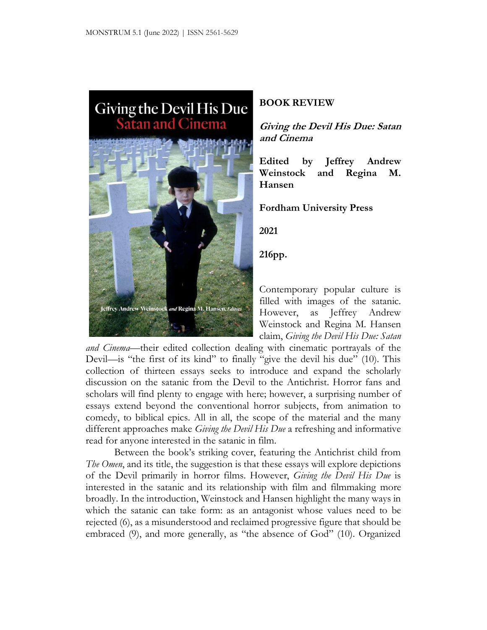## Giving the Devil His Due atan and Cinema



## **BOOK REVIEW**

**Giving the Devil His Due: Satan and Cinema**

**Edited by Jeffrey Andrew Weinstock and Regina M. Hansen**

**Fordham University Press**

**2021**

**216pp.**

Contemporary popular culture is filled with images of the satanic. However, as Jeffrey Andrew Weinstock and Regina M. Hansen claim, *Giving the Devil His Due: Satan* 

*and Cinema*—their edited collection dealing with cinematic portrayals of the Devil—is "the first of its kind" to finally "give the devil his due" (10). This collection of thirteen essays seeks to introduce and expand the scholarly discussion on the satanic from the Devil to the Antichrist. Horror fans and scholars will find plenty to engage with here; however, a surprising number of essays extend beyond the conventional horror subjects, from animation to comedy, to biblical epics. All in all, the scope of the material and the many different approaches make *Giving the Devil His Due* a refreshing and informative read for anyone interested in the satanic in film.

Between the book's striking cover, featuring the Antichrist child from *The Omen*, and its title, the suggestion is that these essays will explore depictions of the Devil primarily in horror films. However, *Giving the Devil His Due* is interested in the satanic and its relationship with film and filmmaking more broadly. In the introduction, Weinstock and Hansen highlight the many ways in which the satanic can take form: as an antagonist whose values need to be rejected (6), as a misunderstood and reclaimed progressive figure that should be embraced (9), and more generally, as "the absence of God" (10). Organized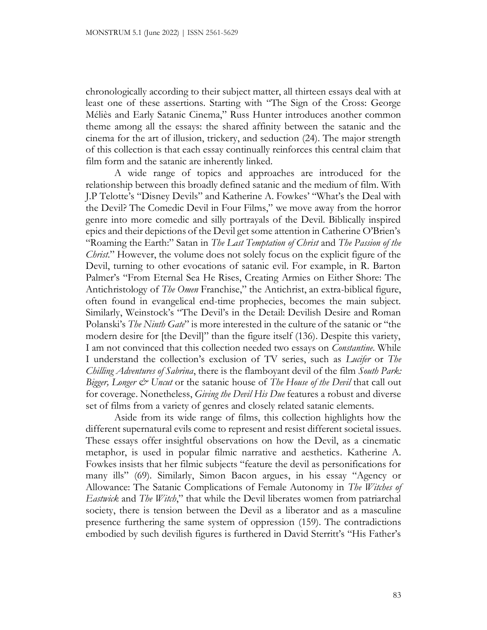chronologically according to their subject matter, all thirteen essays deal with at least one of these assertions. Starting with "The Sign of the Cross: George Méliès and Early Satanic Cinema," Russ Hunter introduces another common theme among all the essays: the shared affinity between the satanic and the cinema for the art of illusion, trickery, and seduction (24). The major strength of this collection is that each essay continually reinforces this central claim that film form and the satanic are inherently linked.

A wide range of topics and approaches are introduced for the relationship between this broadly defined satanic and the medium of film. With J.P Telotte's "Disney Devils" and Katherine A. Fowkes' "What's the Deal with the Devil? The Comedic Devil in Four Films," we move away from the horror genre into more comedic and silly portrayals of the Devil. Biblically inspired epics and their depictions of the Devil get some attention in Catherine O'Brien's "Roaming the Earth:" Satan in *The Last Temptation of Christ* and *The Passion of the Christ*." However, the volume does not solely focus on the explicit figure of the Devil, turning to other evocations of satanic evil. For example, in R. Barton Palmer's "From Eternal Sea He Rises, Creating Armies on Either Shore: The Antichristology of *The Omen* Franchise," the Antichrist, an extra-biblical figure, often found in evangelical end-time prophecies, becomes the main subject. Similarly, Weinstock's "The Devil's in the Detail: Devilish Desire and Roman Polanski's *The Ninth Gate*" is more interested in the culture of the satanic or "the modern desire for [the Devil]" than the figure itself (136). Despite this variety, I am not convinced that this collection needed two essays on *Constantine*. While I understand the collection's exclusion of TV series, such as *Lucifer* or *The Chilling Adventures of Sabrina*, there is the flamboyant devil of the film *South Park: Bigger, Longer & Uncut* or the satanic house of *The House of the Devil* that call out for coverage. Nonetheless, *Giving the Devil His Due* features a robust and diverse set of films from a variety of genres and closely related satanic elements.

Aside from its wide range of films, this collection highlights how the different supernatural evils come to represent and resist different societal issues. These essays offer insightful observations on how the Devil, as a cinematic metaphor, is used in popular filmic narrative and aesthetics. Katherine A. Fowkes insists that her filmic subjects "feature the devil as personifications for many ills" (69). Similarly, Simon Bacon argues, in his essay "Agency or Allowance: The Satanic Complications of Female Autonomy in *The Witches of Eastwick* and *The Witch*," that while the Devil liberates women from patriarchal society, there is tension between the Devil as a liberator and as a masculine presence furthering the same system of oppression (159). The contradictions embodied by such devilish figures is furthered in David Sterritt's "His Father's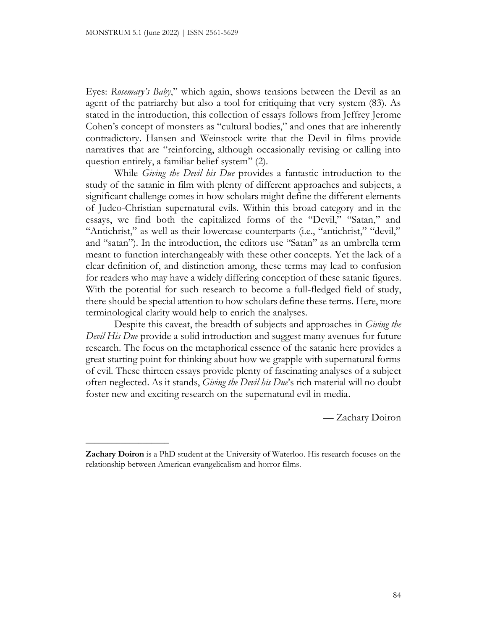\_\_\_\_\_\_\_\_\_\_\_\_\_\_\_\_\_\_\_

Eyes: *Rosemary's Baby*," which again, shows tensions between the Devil as an agent of the patriarchy but also a tool for critiquing that very system (83). As stated in the introduction, this collection of essays follows from Jeffrey Jerome Cohen's concept of monsters as "cultural bodies," and ones that are inherently contradictory. Hansen and Weinstock write that the Devil in films provide narratives that are "reinforcing, although occasionally revising or calling into question entirely, a familiar belief system" (2).

While *Giving the Devil his Due* provides a fantastic introduction to the study of the satanic in film with plenty of different approaches and subjects, a significant challenge comes in how scholars might define the different elements of Judeo-Christian supernatural evils. Within this broad category and in the essays, we find both the capitalized forms of the "Devil," "Satan," and "Antichrist," as well as their lowercase counterparts (i.e., "antichrist," "devil," and "satan"). In the introduction, the editors use "Satan" as an umbrella term meant to function interchangeably with these other concepts. Yet the lack of a clear definition of, and distinction among, these terms may lead to confusion for readers who may have a widely differing conception of these satanic figures. With the potential for such research to become a full-fledged field of study, there should be special attention to how scholars define these terms. Here, more terminological clarity would help to enrich the analyses.

Despite this caveat, the breadth of subjects and approaches in *Giving the Devil His Due* provide a solid introduction and suggest many avenues for future research. The focus on the metaphorical essence of the satanic here provides a great starting point for thinking about how we grapple with supernatural forms of evil. These thirteen essays provide plenty of fascinating analyses of a subject often neglected. As it stands, *Giving the Devil his Due*'s rich material will no doubt foster new and exciting research on the supernatural evil in media.

— Zachary Doiron

**Zachary Doiron** is a PhD student at the University of Waterloo. His research focuses on the relationship between American evangelicalism and horror films.